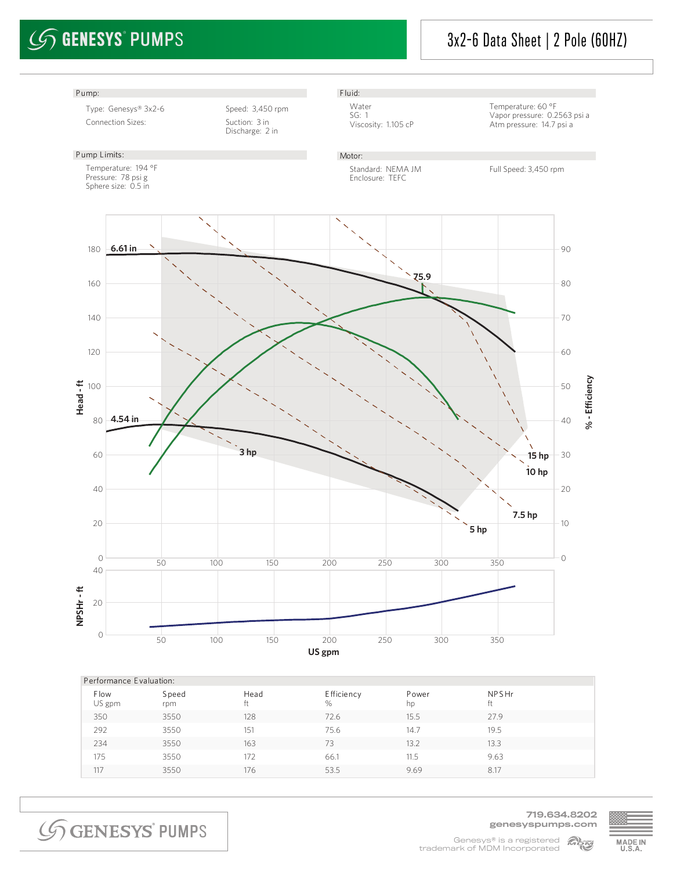# $\mathcal{G}$  GENESYS° PUMPS

### 3x2-6 Data Sheet | 2 Pole (60HZ)



| Performance Evaluation: |              |             |                 |             |                   |  |  |  |  |
|-------------------------|--------------|-------------|-----------------|-------------|-------------------|--|--|--|--|
| <b>Flow</b><br>US gpm   | Speed<br>rpm | Head<br>tt. | Efficiency<br>% | Power<br>hp | <b>NPSHr</b><br>Ħ |  |  |  |  |
| 350                     | 3550         | 128         | 72.6            | 15.5        | 27.9              |  |  |  |  |
| 292                     | 3550         | 151         | 75.6            | 14.7        | 19.5              |  |  |  |  |
| 234                     | 3550         | 163         | 73              | 13.2        | 13.3              |  |  |  |  |
| 175                     | 3550         | 172         | 66.1            | 11.5        | 9.63              |  |  |  |  |
| 117                     | 3550         | 176         | 53.5            | 9.69        | 8.17              |  |  |  |  |
|                         |              |             |                 |             |                   |  |  |  |  |

**SGENESYS PUMPS** 

719.634.8202 genesyspumps.com

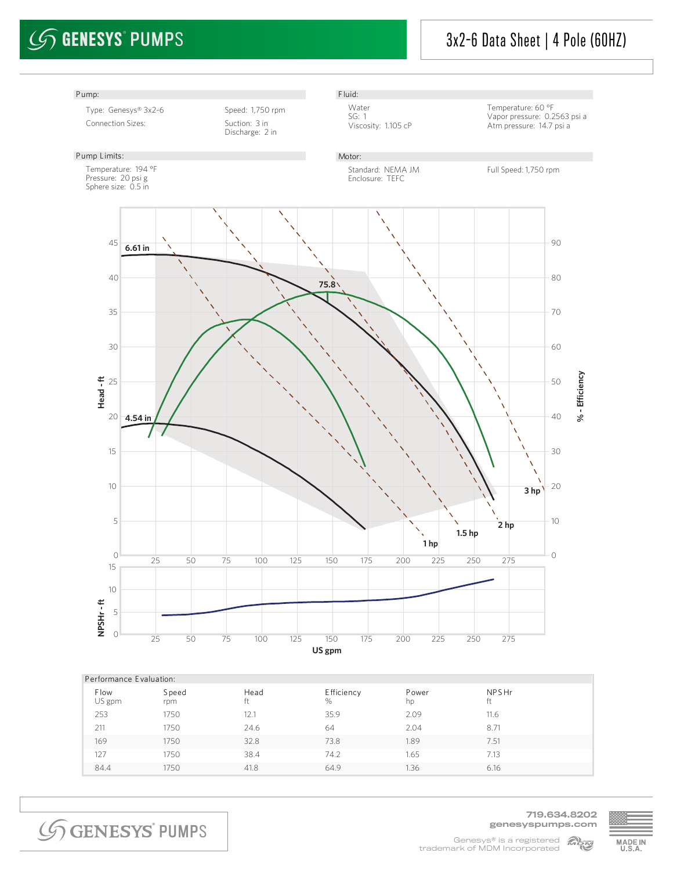# $\mathcal{G}$  GENESYS° PUMPS

### 3x2-6 Data Sheet | 4 Pole (60HZ)



| Performance Evaluation: |              |      |                  |             |       |  |  |  |  |
|-------------------------|--------------|------|------------------|-------------|-------|--|--|--|--|
| <b>Flow</b><br>US gpm   | Speed<br>rpm | Head | E fficiency<br>% | Power<br>hp | NPSHr |  |  |  |  |
| 253                     | 1750         | 12.1 | 35.9             | 2.09        | 11.6  |  |  |  |  |
| 211                     | 1750         | 24.6 | 64               | 2.04        | 8.71  |  |  |  |  |
| 169                     | 1750         | 32.8 | 73.8             | 1.89        | 7.51  |  |  |  |  |
| 127                     | 1750         | 38.4 | 74.2             | 1.65        | 7.13  |  |  |  |  |
| 84.4                    | 1750         | 41.8 | 64.9             | 1.36        | 6.16  |  |  |  |  |

**SGENESYS PUMPS** 

719.634.8202 genesyspumps.com